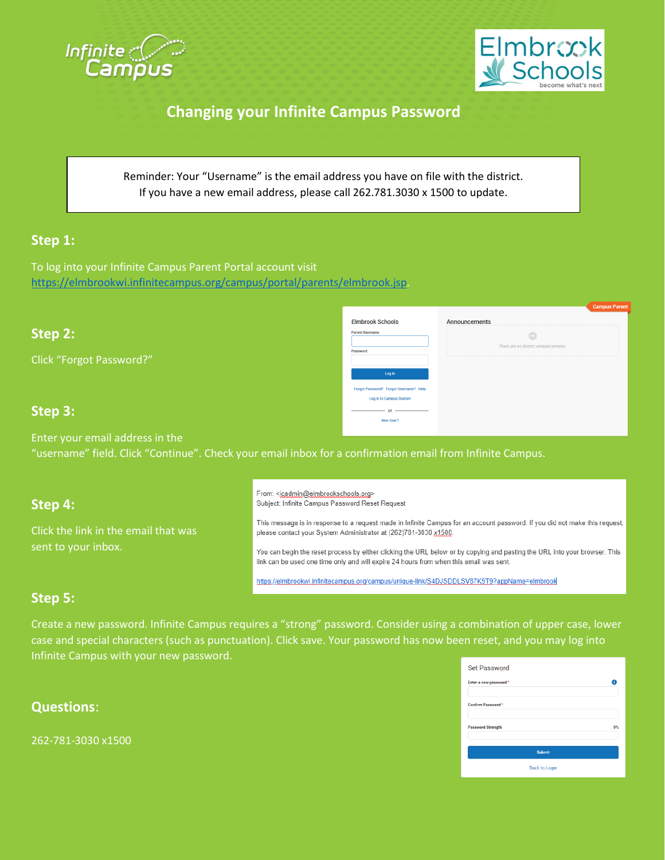



 $\qquad \qquad \qquad \qquad \Box$ There are no district anne

## **Changing your Infinite Campus Password**

Reminder: Your "Username" is the email address you have on file with the district. If you have a new email address, please call 262.781.3030 x 1500 to update.

**Elmbrook Schools** 

vord? Forgot Username? Log In to Campus Student  $-$  or  $-$ New User?

### **Step 1:**

To log into your Infinite Campus Parent Portal account visit [https://elmbrookwi.infinitecampus.org/campus/portal/parents/elmbrook.jsp.](https://elmbrookwi.infinitecampus.org/campus/portal/parents/elmbrook.jsp)

### **Step 2:**

Click "Forgot Password?"

#### **Step 3:**

Enter your email address in the "username" field. Click "Continue". Check your email inbox for a confirmation email from Infinite Campus.

#### **Step 4:**

Click the link in the email that was sent to your inbox.

From: <jcadmin@elmbrookschools.org> Subject: Infinite Campus Password Reset Request

This message is in response to a request made in Infinite Campus for an account password. If you did not make this request, please contact your System Administrator at (262)781-3030 x1500.

Announcements

You can begin the reset process by either clicking the URL below or by copying and pasting the URL into your browser. This link can be used one time only and will expire 24 hours from when this email was sent.

https://elmbrookwi.infinitecampus.org/campus/unique-link/S4DJSDDLSV87K9T9?appName=elmbrook

### **Step 5:**

Create a new password. Infinite Campus requires a "strong" password. Consider using a combination of upper case, lower case and special characters (such as punctuation). Click save. Your password has now been reset, and you may log into Infinite Campus with your new password.

| <b>Questions:</b> |  |  |  |  |
|-------------------|--|--|--|--|
|                   |  |  |  |  |
|                   |  |  |  |  |

262-781-3030 x1500

| 0%            |
|---------------|
| <b>Submit</b> |
|               |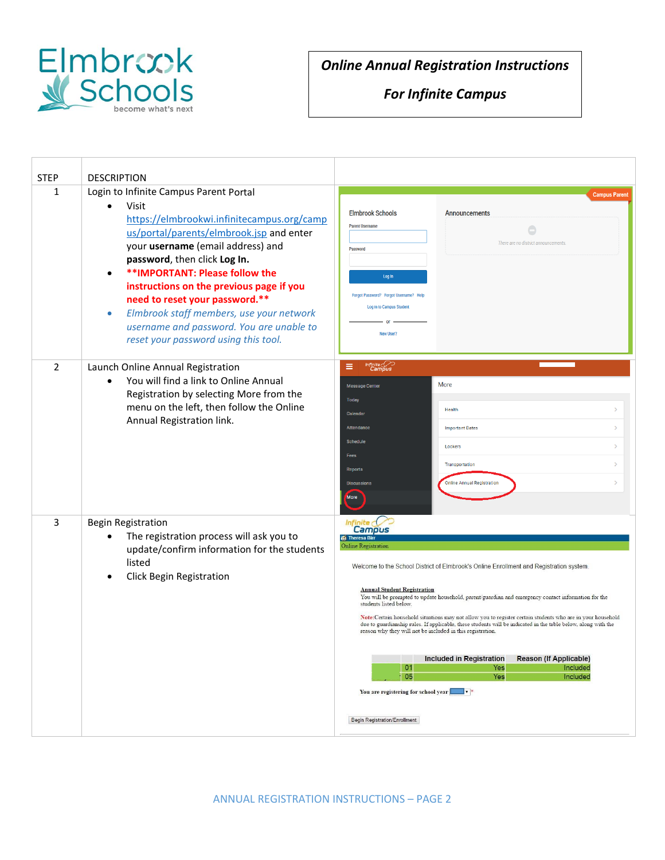

# *Online Annual Registration Instructions*

## *For Infinite Campus*

| <b>STEP</b><br>$\mathbf{1}$ | <b>DESCRIPTION</b><br>Login to Infinite Campus Parent Portal<br>Visit<br>$\bullet$<br>https://elmbrookwi.infinitecampus.org/camp<br>us/portal/parents/elmbrook.jsp and enter<br>your username (email address) and<br>password, then click Log In.<br>** IMPORTANT: Please follow the<br>instructions on the previous page if you<br>need to reset your password.**<br>Elmbrook staff members, use your network<br>$\bullet$<br>username and password. You are unable to<br>reset your password using this tool. | <b>Campus Parent</b><br><b>Elmbrook Schools</b><br><b>Announcements</b><br><b>Parent Username</b><br>There are no district announcements<br>Password<br>Log In<br>Forgot Password? Forgot Username? Help<br>Log In to Campus Student<br>or<br>New User?                                                                                                                                                                                                                                                                                                                                                                                                                                                                                                                                                                                     |  |  |  |
|-----------------------------|-----------------------------------------------------------------------------------------------------------------------------------------------------------------------------------------------------------------------------------------------------------------------------------------------------------------------------------------------------------------------------------------------------------------------------------------------------------------------------------------------------------------|---------------------------------------------------------------------------------------------------------------------------------------------------------------------------------------------------------------------------------------------------------------------------------------------------------------------------------------------------------------------------------------------------------------------------------------------------------------------------------------------------------------------------------------------------------------------------------------------------------------------------------------------------------------------------------------------------------------------------------------------------------------------------------------------------------------------------------------------|--|--|--|
| $\overline{2}$              | Launch Online Annual Registration<br>You will find a link to Online Annual<br>$\bullet$<br>Registration by selecting More from the<br>menu on the left, then follow the Online<br>Annual Registration link.                                                                                                                                                                                                                                                                                                     | Infinite<br>Campus<br>≡<br>More<br><b>Message Center</b><br><b>Today</b><br>Health<br>Calendar<br>Attendance<br><b>Important Dates</b><br><b>Schedule</b><br>Lockers<br>Fees<br>Transportation<br><b>Reports</b><br><b>Online Annual Registration</b><br><b>Discussions</b><br><b>More</b>                                                                                                                                                                                                                                                                                                                                                                                                                                                                                                                                                  |  |  |  |
| 3                           | <b>Begin Registration</b><br>The registration process will ask you to<br>$\bullet$<br>update/confirm information for the students<br>listed<br>Click Begin Registration                                                                                                                                                                                                                                                                                                                                         | Infinite (*<br><b>Campus</b><br><b>Cf</b> Theresa Birr<br>Online Registration<br>Welcome to the School District of Elmbrook's Online Enrollment and Registration system.<br><b>Annual Student Registration</b><br>You will be prompted to update household, parent/guardian and emergency contact information for the<br>students listed below.<br>Note: Certain household situations may not allow you to register certain students who are in your household<br>due to guardianship rules. If applicable, these students will be indicated in the table below, along with the<br>reason why they will not be included in this registration.<br>Included in Registration<br><b>Reason (If Applicable)</b><br>01<br>Included<br>Yes<br>05<br>Yes<br>Included<br>You are registering for school year<br><b>Begin Registration/Enrollment</b> |  |  |  |